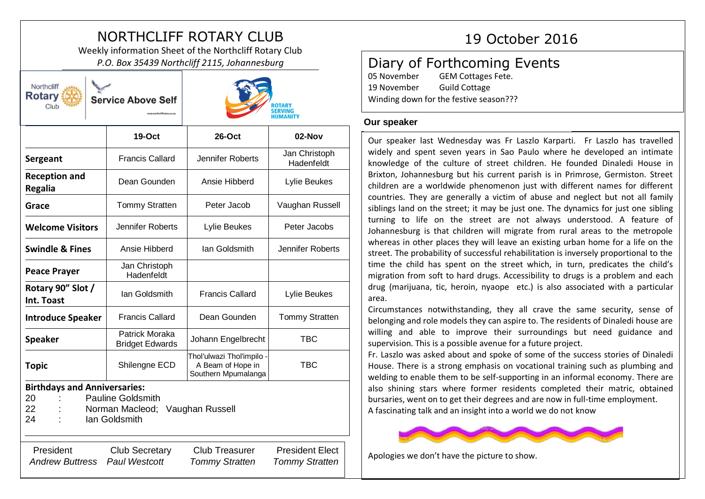# NORTHCLIFF ROTARY CLUB 19 October 2016

Weekly information Sheet of the Northcliff Rotary Club *P.O. Box 35439 Northcliff 2115, Johannesburg*

| Northcliff<br><b>Rotary</b><br>Club                                                                                                      | <b>Service Above Self</b>                |                                                                       | <b>ROTARY</b><br><b>SERVING</b><br><b>HUMANITY</b> |
|------------------------------------------------------------------------------------------------------------------------------------------|------------------------------------------|-----------------------------------------------------------------------|----------------------------------------------------|
|                                                                                                                                          | $19-Oct$                                 | $26$ -Oct                                                             | 02-Nov                                             |
| Sergeant                                                                                                                                 | <b>Francis Callard</b>                   | Jennifer Roberts                                                      | Jan Christoph<br>Hadenfeldt                        |
| <b>Reception and</b><br><b>Regalia</b>                                                                                                   | Dean Gounden                             | Ansie Hibberd                                                         | Lylie Beukes                                       |
| Grace                                                                                                                                    | <b>Tommy Stratten</b>                    | Peter Jacob                                                           | Vaughan Russell                                    |
| <b>Welcome Visitors</b>                                                                                                                  | Jennifer Roberts                         | Lylie Beukes                                                          | Peter Jacobs                                       |
| <b>Swindle &amp; Fines</b>                                                                                                               | Ansie Hibberd                            | Ian Goldsmith                                                         | Jennifer Roberts                                   |
| <b>Peace Prayer</b>                                                                                                                      | Jan Christoph<br>Hadenfeldt              |                                                                       |                                                    |
| Rotary 90" Slot /<br>Int. Toast                                                                                                          | Ian Goldsmith                            | <b>Francis Callard</b>                                                | Lylie Beukes                                       |
| <b>Introduce Speaker</b>                                                                                                                 | <b>Francis Callard</b>                   | Dean Gounden                                                          | <b>Tommy Stratten</b>                              |
| <b>Speaker</b>                                                                                                                           | Patrick Moraka<br><b>Bridget Edwards</b> | Johann Engelbrecht                                                    | <b>TBC</b>                                         |
| <b>Topic</b>                                                                                                                             | Shilengne ECD                            | Thol'ulwazi Thol'impilo -<br>A Beam of Hope in<br>Southern Mpumalanga | <b>TBC</b>                                         |
| <b>Birthdays and Anniversaries:</b><br><b>Pauline Goldsmith</b><br>20<br>22<br>Norman Macleod;<br>Vaughan Russell<br>24<br>lan Goldsmith |                                          |                                                                       |                                                    |
| President<br><b>Andrew Buttress</b>                                                                                                      | <b>Club Secretary</b><br>Paul Westcott   | <b>Club Treasurer</b><br><b>Tommy Stratten</b>                        | <b>President Elect</b><br><b>Tommy Stratten</b>    |

# Diary of Forthcoming Events

05 November GEM Cottages Fete. 19 November Guild Cottage Winding down for the festive season???

# **Our speaker**

Our speaker last Wednesday was Fr Laszlo Karparti. Fr Laszlo has travelled widely and spent seven years in Sao Paulo where he developed an intimate knowledge of the culture of street children. He founded Dinaledi House in Brixton, Johannesburg but his current parish is in Primrose, Germiston. Street children are a worldwide phenomenon just with different names for different countries. They are generally a victim of abuse and neglect but not all family siblings land on the street; it may be just one. The dynamics for just one sibling turning to life on the street are not always understood. A feature of Johannesburg is that children will migrate from rural areas to the metropole whereas in other places they will leave an existing urban home for a life on the street. The probability of successful rehabilitation is inversely proportional to the time the child has spent on the street which, in turn, predicates the child's migration from soft to hard drugs. Accessibility to drugs is a problem and each drug (marijuana, tic, heroin, nyaope etc.) is also associated with a particular area.

Circumstances notwithstanding, they all crave the same security, sense of belonging and role models they can aspire to. The residents of Dinaledi house are willing and able to improve their surroundings but need guidance and supervision. This is a possible avenue for a future project.

Fr. Laszlo was asked about and spoke of some of the success stories of Dinaledi House. There is a strong emphasis on vocational training such as plumbing and welding to enable them to be self-supporting in an informal economy. There are also shining stars where former residents completed their matric, obtained bursaries, went on to get their degrees and are now in full-time employment. A fascinating talk and an insight into a world we do not know



Apologies we don't have the picture to show.